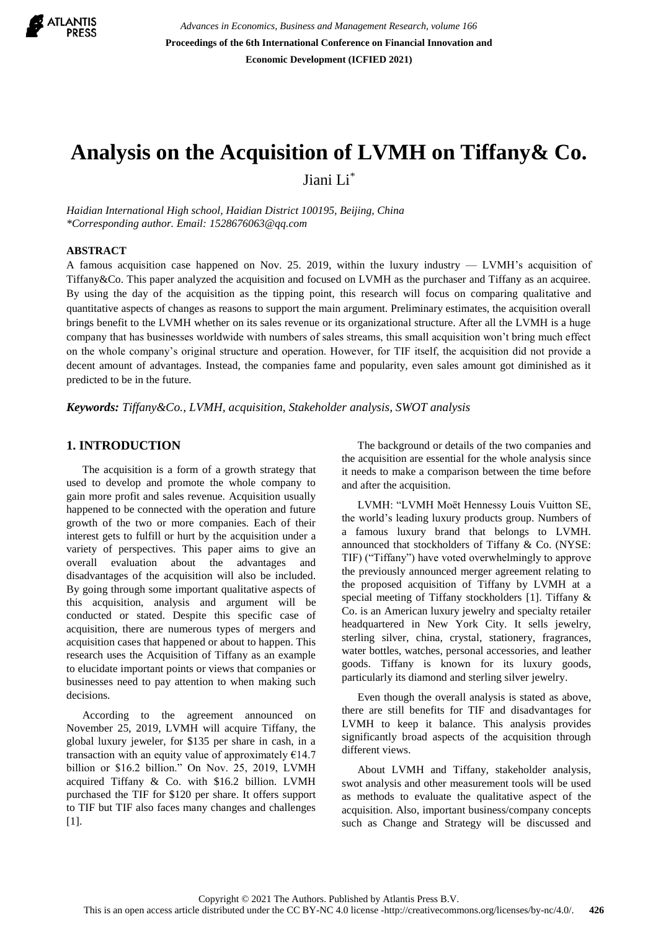

*Advances in Economics, Business and Management Research, volume 166* **Proceedings of the 6th International Conference on Financial Innovation and Economic Development (ICFIED 2021)**

# **Analysis on the Acquisition of LVMH on Tiffany& Co.**

Jiani Li\*

*Haidian International High school, Haidian District 100195, Beijing, China \*Corresponding author. Email: 1528676063@qq.com*

## **ABSTRACT**

A famous acquisition case happened on Nov. 25. 2019, within the luxury industry — LVMH's acquisition of Tiffany&Co. This paper analyzed the acquisition and focused on LVMH as the purchaser and Tiffany as an acquiree. By using the day of the acquisition as the tipping point, this research will focus on comparing qualitative and quantitative aspects of changes as reasons to support the main argument. Preliminary estimates, the acquisition overall brings benefit to the LVMH whether on its sales revenue or its organizational structure. After all the LVMH is a huge company that has businesses worldwide with numbers of sales streams, this small acquisition won't bring much effect on the whole company's original structure and operation. However, for TIF itself, the acquisition did not provide a decent amount of advantages. Instead, the companies fame and popularity, even sales amount got diminished as it predicted to be in the future.

*Keywords: Tiffany&Co., LVMH, acquisition, Stakeholder analysis, SWOT analysis*

#### **1. INTRODUCTION**

The acquisition is a form of a growth strategy that used to develop and promote the whole company to gain more profit and sales revenue. Acquisition usually happened to be connected with the operation and future growth of the two or more companies. Each of their interest gets to fulfill or hurt by the acquisition under a variety of perspectives. This paper aims to give an overall evaluation about the advantages and disadvantages of the acquisition will also be included. By going through some important qualitative aspects of this acquisition, analysis and argument will be conducted or stated. Despite this specific case of acquisition, there are numerous types of mergers and acquisition cases that happened or about to happen. This research uses the Acquisition of Tiffany as an example to elucidate important points or views that companies or businesses need to pay attention to when making such decisions.

According to the agreement announced on November 25, 2019, LVMH will acquire Tiffany, the global luxury jeweler, for \$135 per share in cash, in a transaction with an equity value of approximately  $E14.7$ billion or \$16.2 billion." On Nov. 25, 2019, LVMH acquired Tiffany & Co. with \$16.2 billion. LVMH purchased the TIF for \$120 per share. It offers support to TIF but TIF also faces many changes and challenges [1].

The background or details of the two companies and the acquisition are essential for the whole analysis since it needs to make a comparison between the time before and after the acquisition.

LVMH: "LVMH Moët Hennessy Louis Vuitton SE, the world's leading luxury products group. Numbers of a famous luxury brand that belongs to LVMH. announced that stockholders of Tiffany & Co. (NYSE: TIF) ("Tiffany") have voted overwhelmingly to approve the previously announced merger agreement relating to the proposed acquisition of Tiffany by LVMH at a special meeting of Tiffany stockholders [1]. Tiffany & Co. is an American luxury jewelry and specialty retailer headquartered in New York City. It sells jewelry, sterling silver, china, crystal, stationery, fragrances, water bottles, watches, personal accessories, and leather goods. Tiffany is known for its luxury goods, particularly its diamond and sterling silver jewelry.

Even though the overall analysis is stated as above, there are still benefits for TIF and disadvantages for LVMH to keep it balance. This analysis provides significantly broad aspects of the acquisition through different views.

About LVMH and Tiffany, stakeholder analysis, swot analysis and other measurement tools will be used as methods to evaluate the qualitative aspect of the acquisition. Also, important business/company concepts such as Change and Strategy will be discussed and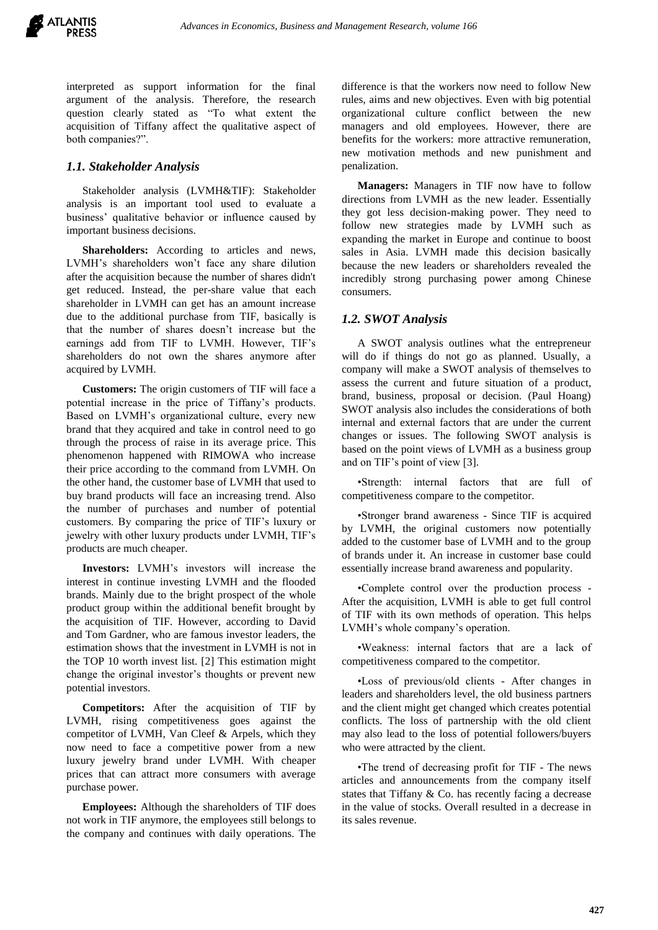

interpreted as support information for the final argument of the analysis. Therefore, the research question clearly stated as "To what extent the acquisition of Tiffany affect the qualitative aspect of both companies?".

#### *1.1. Stakeholder Analysis*

Stakeholder analysis (LVMH&TIF): Stakeholder analysis is an important tool used to evaluate a business' qualitative behavior or influence caused by important business decisions.

**Shareholders:** According to articles and news, LVMH's shareholders won't face any share dilution after the acquisition because the number of shares didn't get reduced. Instead, the per-share value that each shareholder in LVMH can get has an amount increase due to the additional purchase from TIF, basically is that the number of shares doesn't increase but the earnings add from TIF to LVMH. However, TIF's shareholders do not own the shares anymore after acquired by LVMH.

**Customers:** The origin customers of TIF will face a potential increase in the price of Tiffany's products. Based on LVMH's organizational culture, every new brand that they acquired and take in control need to go through the process of raise in its average price. This phenomenon happened with RIMOWA who increase their price according to the command from LVMH. On the other hand, the customer base of LVMH that used to buy brand products will face an increasing trend. Also the number of purchases and number of potential customers. By comparing the price of TIF's luxury or jewelry with other luxury products under LVMH, TIF's products are much cheaper.

**Investors:** LVMH's investors will increase the interest in continue investing LVMH and the flooded brands. Mainly due to the bright prospect of the whole product group within the additional benefit brought by the acquisition of TIF. However, according to David and Tom Gardner, who are famous investor leaders, the estimation shows that the investment in LVMH is not in the TOP 10 worth invest list. [2] This estimation might change the original investor's thoughts or prevent new potential investors.

**Competitors:** After the acquisition of TIF by LVMH, rising competitiveness goes against the competitor of LVMH, Van Cleef & Arpels, which they now need to face a competitive power from a new luxury jewelry brand under LVMH. With cheaper prices that can attract more consumers with average purchase power.

**Employees:** Although the shareholders of TIF does not work in TIF anymore, the employees still belongs to the company and continues with daily operations. The

difference is that the workers now need to follow New rules, aims and new objectives. Even with big potential organizational culture conflict between the new managers and old employees. However, there are benefits for the workers: more attractive remuneration, new motivation methods and new punishment and penalization.

**Managers:** Managers in TIF now have to follow directions from LVMH as the new leader. Essentially they got less decision-making power. They need to follow new strategies made by LVMH such as expanding the market in Europe and continue to boost sales in Asia. LVMH made this decision basically because the new leaders or shareholders revealed the incredibly strong purchasing power among Chinese consumers.

## *1.2. SWOT Analysis*

A SWOT analysis outlines what the entrepreneur will do if things do not go as planned. Usually, a company will make a SWOT analysis of themselves to assess the current and future situation of a product, brand, business, proposal or decision. (Paul Hoang) SWOT analysis also includes the considerations of both internal and external factors that are under the current changes or issues. The following SWOT analysis is based on the point views of LVMH as a business group and on TIF's point of view [3].

•Strength: internal factors that are full of competitiveness compare to the competitor.

•Stronger brand awareness - Since TIF is acquired by LVMH, the original customers now potentially added to the customer base of LVMH and to the group of brands under it. An increase in customer base could essentially increase brand awareness and popularity.

•Complete control over the production process - After the acquisition, LVMH is able to get full control of TIF with its own methods of operation. This helps LVMH's whole company's operation.

•Weakness: internal factors that are a lack of competitiveness compared to the competitor.

•Loss of previous/old clients - After changes in leaders and shareholders level, the old business partners and the client might get changed which creates potential conflicts. The loss of partnership with the old client may also lead to the loss of potential followers/buyers who were attracted by the client.

•The trend of decreasing profit for TIF - The news articles and announcements from the company itself states that Tiffany & Co. has recently facing a decrease in the value of stocks. Overall resulted in a decrease in its sales revenue.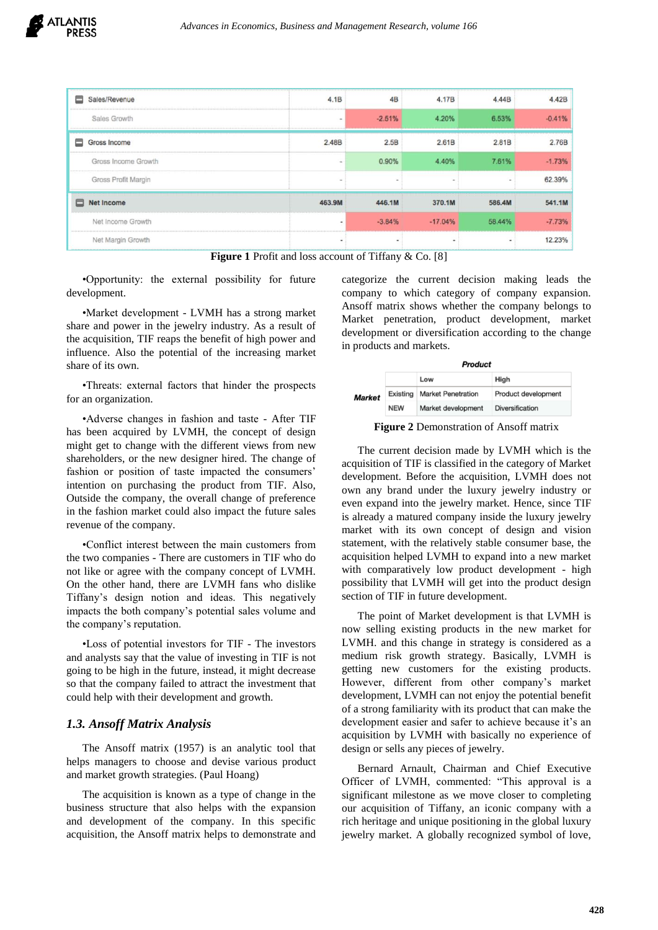| Sales/Revenue<br>▭     | 4.1B                     | 4B                       | 4.17B     | 4.44B  | 4.42B    |
|------------------------|--------------------------|--------------------------|-----------|--------|----------|
| Sales Growth           | ۰                        | $-2.51%$                 | 4.20%     | 6.53%  | $-0.41%$ |
| ⊟<br>Gross Income      | 2.48B                    | 2.5B                     | 2.61B     | 2.81B  | 2.76B    |
| Gross Income Growth    | ۰                        | 0.90%                    | 4.40%     | 7.61%  | $-1.73%$ |
| Gross Profit Margin    | $\overline{\phantom{a}}$ | $\sim$                   |           |        | 62.39%   |
| <b>Net Income</b><br>▭ | 463.9M                   | 446.1M                   | 370.1M    | 586.4M | 541.1M   |
| Net Income Growth      | $\overline{\phantom{a}}$ | $-3.84%$                 | $-17.04%$ | 58.44% | $-7.73%$ |
| Net Margin Growth      | ۰                        | $\overline{\phantom{a}}$ | $\sim$    | ٠      | 12.23%   |

**Figure 1** Profit and loss account of Tiffany & Co. [8]

•Opportunity: the external possibility for future development.

•Market development - LVMH has a strong market share and power in the jewelry industry. As a result of the acquisition, TIF reaps the benefit of high power and influence. Also the potential of the increasing market share of its own.

•Threats: external factors that hinder the prospects for an organization.

•Adverse changes in fashion and taste - After TIF has been acquired by LVMH, the concept of design might get to change with the different views from new shareholders, or the new designer hired. The change of fashion or position of taste impacted the consumers' intention on purchasing the product from TIF. Also, Outside the company, the overall change of preference in the fashion market could also impact the future sales revenue of the company.

•Conflict interest between the main customers from the two companies - There are customers in TIF who do not like or agree with the company concept of LVMH. On the other hand, there are LVMH fans who dislike Tiffany's design notion and ideas. This negatively impacts the both company's potential sales volume and the company's reputation.

•Loss of potential investors for TIF - The investors and analysts say that the value of investing in TIF is not going to be high in the future, instead, it might decrease so that the company failed to attract the investment that could help with their development and growth.

# *1.3. Ansoff Matrix Analysis*

The Ansoff matrix (1957) is an analytic tool that helps managers to choose and devise various product and market growth strategies. (Paul Hoang)

The acquisition is known as a type of change in the business structure that also helps with the expansion and development of the company. In this specific acquisition, the Ansoff matrix helps to demonstrate and

categorize the current decision making leads the company to which category of company expansion. Ansoff matrix shows whether the company belongs to Market penetration, product development, market development or diversification according to the change in products and markets.

|               |            | <b>Product</b>            |                            |  |  |
|---------------|------------|---------------------------|----------------------------|--|--|
|               |            | Low                       | <b>High</b>                |  |  |
| <b>Market</b> | Existing   | <b>Market Penetration</b> | <b>Product development</b> |  |  |
|               | <b>NEW</b> | Market development        | <b>Diversification</b>     |  |  |

**Figure 2** Demonstration of Ansoff matrix

The current decision made by LVMH which is the acquisition of TIF is classified in the category of Market development. Before the acquisition, LVMH does not own any brand under the luxury jewelry industry or even expand into the jewelry market. Hence, since TIF is already a matured company inside the luxury jewelry market with its own concept of design and vision statement, with the relatively stable consumer base, the acquisition helped LVMH to expand into a new market with comparatively low product development - high possibility that LVMH will get into the product design section of TIF in future development.

The point of Market development is that LVMH is now selling existing products in the new market for LVMH. and this change in strategy is considered as a medium risk growth strategy. Basically, LVMH is getting new customers for the existing products. However, different from other company's market development, LVMH can not enjoy the potential benefit of a strong familiarity with its product that can make the development easier and safer to achieve because it's an acquisition by LVMH with basically no experience of design or sells any pieces of jewelry.

Bernard Arnault, Chairman and Chief Executive Officer of LVMH, commented: "This approval is a significant milestone as we move closer to completing our acquisition of Tiffany, an iconic company with a rich heritage and unique positioning in the global luxury jewelry market. A globally recognized symbol of love,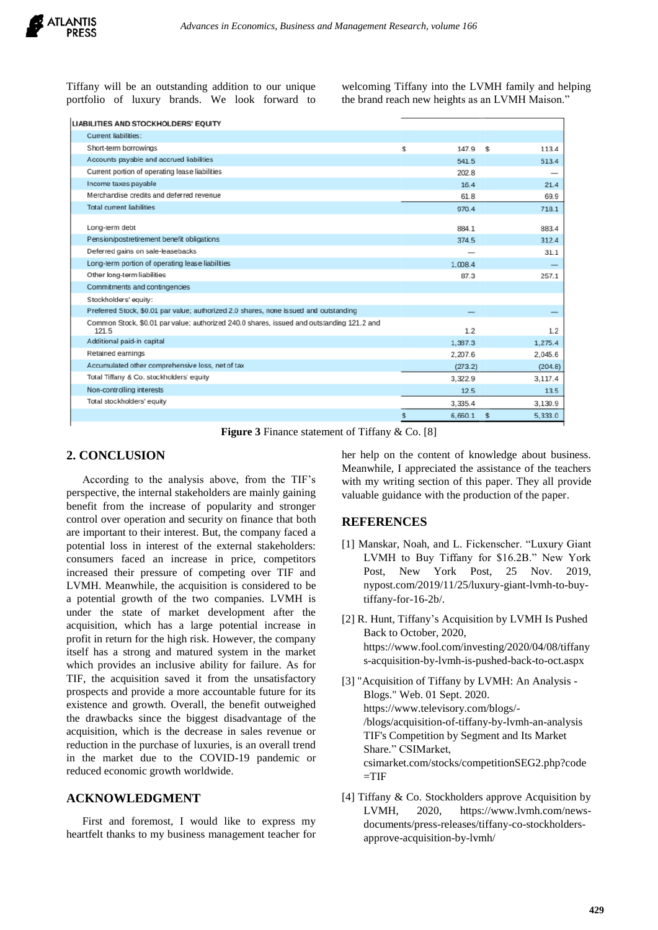

Tiffany will be an outstanding addition to our unique portfolio of luxury brands. We look forward to welcoming Tiffany into the LVMH family and helping the brand reach new heights as an LVMH Maison."

|  |  | LIABILITIES AND STOCKHOLDERS' EQUITY |  |
|--|--|--------------------------------------|--|
|--|--|--------------------------------------|--|

| <b>Current liabilities:</b>                                                                        |               |               |
|----------------------------------------------------------------------------------------------------|---------------|---------------|
| Short-term borrowings                                                                              | \$<br>147.9   | 113.4<br>\$   |
| Accounts payable and accrued liabilities                                                           | 541.5         | 513.4         |
| Current portion of operating lease liabilities                                                     | 202.8         |               |
| Income taxes payable                                                                               | 16.4          | 21.4          |
| Merchandise credits and deferred revenue                                                           | 61.8          | 69.9          |
| <b>Total current liabilities</b>                                                                   | 970.4         | 718.1         |
|                                                                                                    |               |               |
| Long-term debt                                                                                     | 884.1         | 883.4         |
| Pension/postretirement benefit obligations                                                         | 374.5         | 312.4         |
| Deferred gains on sale-leasebacks                                                                  |               | 31.1          |
| Long-term portion of operating lease liabilities                                                   | 1.008.4       |               |
| Other long-term liabilities                                                                        | 87.3          | 257.1         |
| Commitments and contingencies                                                                      |               |               |
| Stockholders' equity:                                                                              |               |               |
| Preferred Stock, \$0.01 par value; authorized 2.0 shares, none issued and outstanding              |               |               |
| Common Stock, \$0.01 par value; authorized 240.0 shares, issued and outstanding 121.2 and<br>121.5 | 1.2           | 1.2           |
| Additional paid-in capital                                                                         | 1.387.3       | 1,275.4       |
| Retained earnings                                                                                  | 2,207.6       | 2,045.6       |
| Accumulated other comprehensive loss, net of tax                                                   | (273.2)       | (204.8)       |
| Total Tiffany & Co. stockholders' equity                                                           | 3,322.9       | 3,117.4       |
| Non-controlling interests                                                                          | 12.5          | 13.5          |
| Total stockholders' equity                                                                         | 3,335.4       | 3,130.9       |
|                                                                                                    | 6.660.1<br>\$ | 5,333.0<br>\$ |
|                                                                                                    |               |               |

**Figure 3** Finance statement of Tiffany & Co. [8]

## **2. CONCLUSION**

According to the analysis above, from the TIF's perspective, the internal stakeholders are mainly gaining benefit from the increase of popularity and stronger control over operation and security on finance that both are important to their interest. But, the company faced a potential loss in interest of the external stakeholders: consumers faced an increase in price, competitors increased their pressure of competing over TIF and LVMH. Meanwhile, the acquisition is considered to be a potential growth of the two companies. LVMH is under the state of market development after the acquisition, which has a large potential increase in profit in return for the high risk. However, the company itself has a strong and matured system in the market which provides an inclusive ability for failure. As for TIF, the acquisition saved it from the unsatisfactory prospects and provide a more accountable future for its existence and growth. Overall, the benefit outweighed the drawbacks since the biggest disadvantage of the acquisition, which is the decrease in sales revenue or reduction in the purchase of luxuries, is an overall trend in the market due to the COVID-19 pandemic or reduced economic growth worldwide.

## **ACKNOWLEDGMENT**

First and foremost, I would like to express my heartfelt thanks to my business management teacher for her help on the content of knowledge about business. Meanwhile, I appreciated the assistance of the teachers with my writing section of this paper. They all provide valuable guidance with the production of the paper.

#### **REFERENCES**

- [1] Manskar, Noah, and L. Fickenscher. "Luxury Giant LVMH to Buy Tiffany for \$16.2B." New York Post, New York Post, 25 Nov. 2019, [nypost.com/2019/11/25/luxury-giant-lvmh-to-buy](http://nypost.com/2019/11/25/luxury-giant-lvmh-to-buy-tiffany-for-16-2b/)[tiffany-for-16-2b/.](http://nypost.com/2019/11/25/luxury-giant-lvmh-to-buy-tiffany-for-16-2b/)
- [2] R. Hunt, Tiffany's Acquisition by LVMH Is Pushed Back to October, 2020, [https://www.fool.com/investing/2020/04/08/tiffany](https://www.fool.com/investing/2020/04/08/tiffanys-acquisition-by-lvmh-is-pushed-back-to-oct.aspx) [s-acquisition-by-lvmh-is-pushed-back-to-oct.aspx](https://www.fool.com/investing/2020/04/08/tiffanys-acquisition-by-lvmh-is-pushed-back-to-oct.aspx)
- [3] "Acquisition of Tiffany by LVMH: An Analysis Blogs." Web. 01 Sept. 2020. [https://www.televisory.com/blogs/-](https://www.televisory.com/blogs/-/blogs/acquisition-of-tiffany-by-lvmh-an-analysis) [/blogs/acquisition-of-tiffany-by-lvmh-an-analysis](https://www.televisory.com/blogs/-/blogs/acquisition-of-tiffany-by-lvmh-an-analysis) TIF's Competition by Segment and Its Market Share." CSIMarket, [csimarket.com/stocks/competitionSEG2.php?code](http://csimarket.com/stocks/competitionSEG2.php?code=TIF)  $=$ TIF
- [4] Tiffany & Co. Stockholders approve Acquisition by LVMH, 2020, [https://www.lvmh.com/news](https://www.lvmh.com/news-documents/press-releases/tiffany-co-stockholders-approve-acquisition-by-lvmh/)[documents/press-releases/tiffany-co-stockholders](https://www.lvmh.com/news-documents/press-releases/tiffany-co-stockholders-approve-acquisition-by-lvmh/)[approve-acquisition-by-lvmh/](https://www.lvmh.com/news-documents/press-releases/tiffany-co-stockholders-approve-acquisition-by-lvmh/)